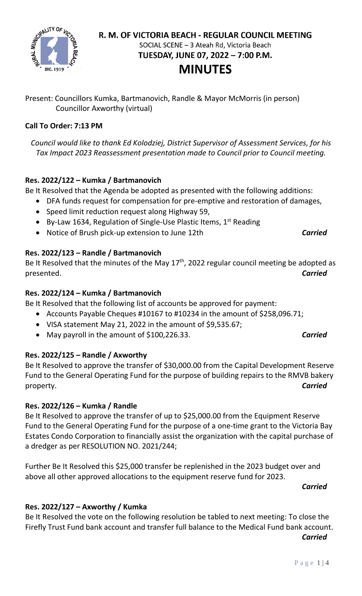

# R. M. OF VICTORIA BEACH - REGULAR COUNCIL MEETING SOCIAL SCENE - 3 Ateah Rd, Victoria Beach TUESDAY, JUNE 07, 2022 - 7:00 P.M.

# **MINUTES**

Present: Councillors Kumka, Bartmanovich, Randle & Mayor McMorris (in person) Councillor Axworthy (virtual)

# **Call To Order: 7:13 PM**

*Council would like to thank Ed Kolodziej, District Supervisor of Assessment Services, for his Tax Impact 2023 Reassessment presentation made to Council prior to Council meeting.*

# **Res. 2022/122 – Kumka / Bartmanovich**

Be It Resolved that the Agenda be adopted as presented with the following additions:

- DFA funds request for compensation for pre-emptive and restoration of damages,
- Speed limit reduction request along Highway 59,
- By-Law 1634, Regulation of Single-Use Plastic Items,  $1<sup>st</sup>$  Reading
- Notice of Brush pick-up extension to June 12th *Carried*

# **Res. 2022/123 – Randle / Bartmanovich**

Be It Resolved that the minutes of the May  $17<sup>th</sup>$ , 2022 regular council meeting be adopted as presented. *Carried*

# **Res. 2022/124 – Kumka / Bartmanovich**

Be It Resolved that the following list of accounts be approved for payment:

- Accounts Payable Cheques #10167 to #10234 in the amount of \$258,096.71;
- VISA statement May 21, 2022 in the amount of \$9,535.67;
- May payroll in the amount of \$100,226.33. *Carried*

# **Res. 2022/125 – Randle / Axworthy**

Be It Resolved to approve the transfer of \$30,000.00 from the Capital Development Reserve Fund to the General Operating Fund for the purpose of building repairs to the RMVB bakery property. *Carried*

# **Res. 2022/126 – Kumka / Randle**

Be It Resolved to approve the transfer of up to \$25,000.00 from the Equipment Reserve Fund to the General Operating Fund for the purpose of a one-time grant to the Victoria Bay Estates Condo Corporation to financially assist the organization with the capital purchase of a dredger as per RESOLUTION NO. 2021/244;

Further Be It Resolved this \$25,000 transfer be replenished in the 2023 budget over and above all other approved allocations to the equipment reserve fund for 2023.

*Carried*

# **Res. 2022/127 – Axworthy / Kumka**

Be It Resolved the vote on the following resolution be tabled to next meeting: To close the Firefly Trust Fund bank account and transfer full balance to the Medical Fund bank account. *Carried*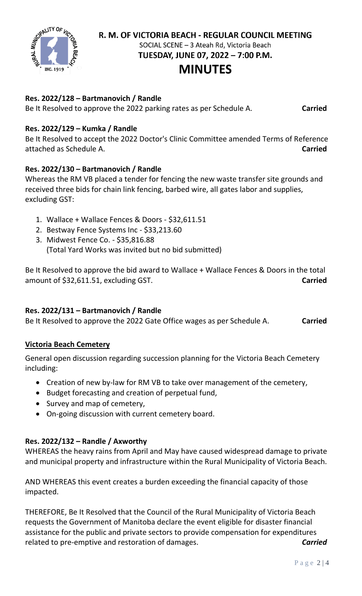

R. M. OF VICTORIA BEACH - REGULAR COUNCIL MEETING

SOCIAL SCENE - 3 Ateah Rd, Victoria Beach

TUESDAY, JUNE 07, 2022 - 7:00 P.M.

# **MINUTES**

## **Res. 2022/128 – Bartmanovich / Randle**

Be It Resolved to approve the 2022 parking rates as per Schedule A. **Carried**

### **Res. 2022/129 – Kumka / Randle**

Be It Resolved to accept the 2022 Doctor's Clinic Committee amended Terms of Reference attached as Schedule A. **Carried**

### **Res. 2022/130 – Bartmanovich / Randle**

Whereas the RM VB placed a tender for fencing the new waste transfer site grounds and received three bids for chain link fencing, barbed wire, all gates labor and supplies, excluding GST:

- 1. Wallace + Wallace Fences & Doors \$32,611.51
- 2. Bestway Fence Systems Inc \$33,213.60
- 3. Midwest Fence Co. \$35,816.88 (Total Yard Works was invited but no bid submitted)

Be It Resolved to approve the bid award to Wallace + Wallace Fences & Doors in the total amount of \$32,611.51, excluding GST. **Carried**

# **Res. 2022/131 – Bartmanovich / Randle**

Be It Resolved to approve the 2022 Gate Office wages as per Schedule A. **Carried**

#### **Victoria Beach Cemetery**

General open discussion regarding succession planning for the Victoria Beach Cemetery including:

- Creation of new by-law for RM VB to take over management of the cemetery,
- Budget forecasting and creation of perpetual fund,
- Survey and map of cemetery,
- On-going discussion with current cemetery board.

# **Res. 2022/132 – Randle / Axworthy**

WHEREAS the heavy rains from April and May have caused widespread damage to private and municipal property and infrastructure within the Rural Municipality of Victoria Beach.

AND WHEREAS this event creates a burden exceeding the financial capacity of those impacted.

THEREFORE, Be It Resolved that the Council of the Rural Municipality of Victoria Beach requests the Government of Manitoba declare the event eligible for disaster financial assistance for the public and private sectors to provide compensation for expenditures related to pre-emptive and restoration of damages. *Carried*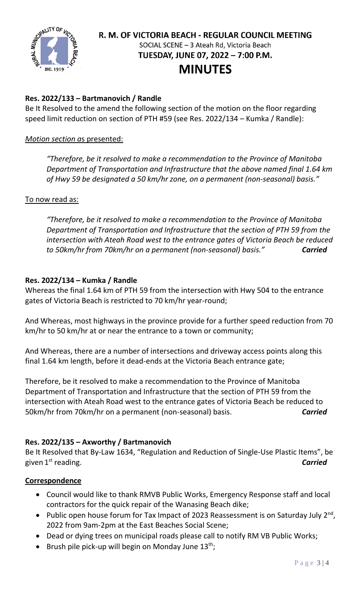

# R. M. OF VICTORIA BEACH - REGULAR COUNCIL MEETING SOCIAL SCENE - 3 Ateah Rd, Victoria Beach TUESDAY, JUNE 07, 2022 - 7:00 P.M.

# **MINUTES**

# **Res. 2022/133 – Bartmanovich / Randle**

Be It Resolved to the amend the following section of the motion on the floor regarding speed limit reduction on section of PTH #59 (see Res. 2022/134 – Kumka / Randle):

### *Motion section a*s presented:

*"Therefore, be it resolved to make a recommendation to the Province of Manitoba Department of Transportation and Infrastructure that the above named final 1.64 km of Hwy 59 be designated a 50 km/hr zone, on a permanent (non-seasonal) basis."*

#### To now read as:

*"Therefore, be it resolved to make a recommendation to the Province of Manitoba Department of Transportation and Infrastructure that the section of PTH 59 from the intersection with Ateah Road west to the entrance gates of Victoria Beach be reduced to 50km/hr from 70km/hr on a permanent (non-seasonal) basis." Carried*

# **Res. 2022/134 – Kumka / Randle**

Whereas the final 1.64 km of PTH 59 from the intersection with Hwy 504 to the entrance gates of Victoria Beach is restricted to 70 km/hr year-round;

And Whereas, most highways in the province provide for a further speed reduction from 70 km/hr to 50 km/hr at or near the entrance to a town or community;

And Whereas, there are a number of intersections and driveway access points along this final 1.64 km length, before it dead-ends at the Victoria Beach entrance gate;

Therefore, be it resolved to make a recommendation to the Province of Manitoba Department of Transportation and Infrastructure that the section of PTH 59 from the intersection with Ateah Road west to the entrance gates of Victoria Beach be reduced to 50km/hr from 70km/hr on a permanent (non-seasonal) basis. *Carried*

# **Res. 2022/135 – Axworthy / Bartmanovich**

Be It Resolved that By-Law 1634, "Regulation and Reduction of Single-Use Plastic Items", be given  $1<sup>st</sup>$  reading. st reading. *Carried*

#### **Correspondence**

- Council would like to thank RMVB Public Works, Emergency Response staff and local contractors for the quick repair of the Wanasing Beach dike;
- Public open house forum for Tax Impact of 2023 Reassessment is on Saturday July 2<sup>nd</sup>, 2022 from 9am-2pm at the East Beaches Social Scene;
- Dead or dying trees on municipal roads please call to notify RM VB Public Works;
- Brush pile pick-up will begin on Monday June  $13^{th}$ ;